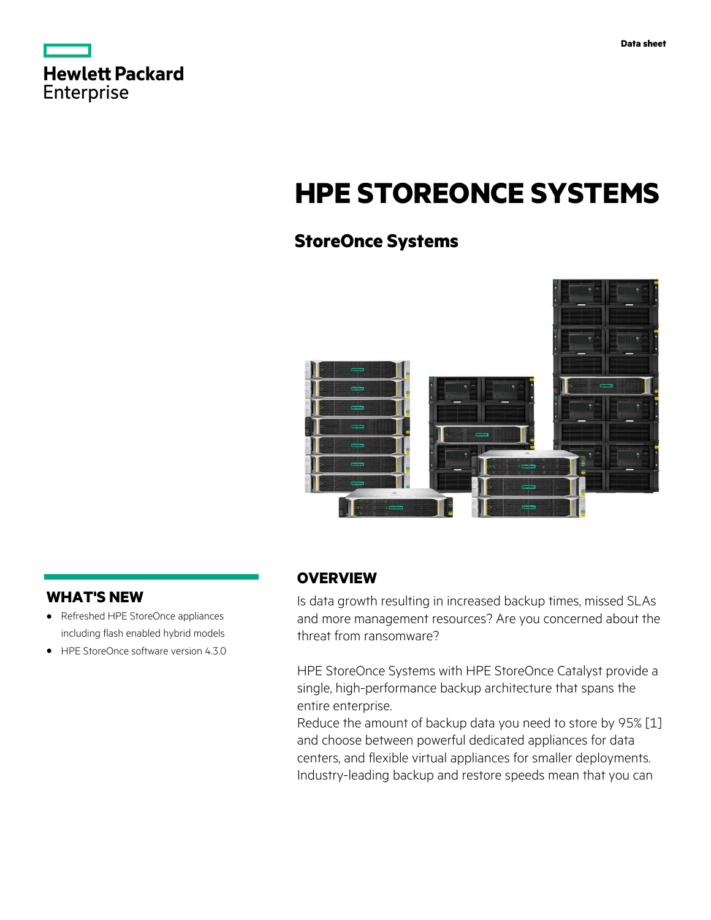|                   | <b>Hewlett Packard</b> |
|-------------------|------------------------|
| <b>Enterprise</b> |                        |

# **HPE STOREONCE SYSTEMS**

# **StoreOnce Systems**



## **WHAT'S NEW**

- **·** Refreshed HPE StoreOnce appliances including flash enabled hybrid models
- **·** HPE StoreOnce software version 4.3.0

## **OVERVIEW**

Is data growth resulting in increased backup times, missed SLAs and more management resources? Are you concerned about the threat from ransomware?

HPE StoreOnce Systems with HPE StoreOnce Catalyst provide a single, high-performance backup architecture that spans the entire enterprise.

Reduce the amount of backup data you need to store by 95% [1] and choose between powerful dedicated appliances for data centers, and flexible virtual appliances for smaller deployments. Industry-leading backup and restore speeds mean that you can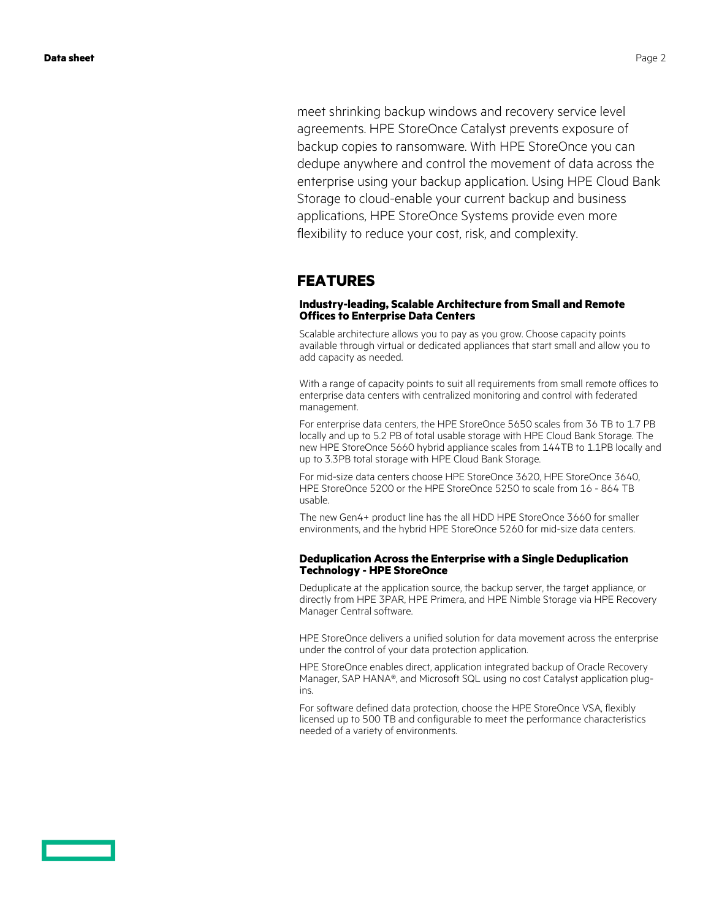meet shrinking backup windows and recovery service level

agreements. HPE StoreOnce Catalyst prevents exposure of backup copies to ransomware. With HPE StoreOnce you can dedupe anywhere and control the movement of data across the enterprise using your backup application. Using HPE Cloud Bank Storage to cloud-enable your current backup and business applications, HPE StoreOnce Systems provide even more flexibility to reduce your cost, risk, and complexity.

### **FEATURES**

#### **Industry-leading, Scalable Architecture from Small and Remote Offices to Enterprise Data Centers**

Scalable architecture allows you to pay as you grow. Choose capacity points available through virtual or dedicated appliances that start small and allow you to add capacity as needed.

With a range of capacity points to suit all requirements from small remote offices to enterprise data centers with centralized monitoring and control with federated management.

For enterprise data centers, the HPE StoreOnce 5650 scales from 36 TB to 1.7 PB locally and up to 5.2 PB of total usable storage with HPE Cloud Bank Storage. The new HPE StoreOnce 5660 hybrid appliance scales from 144TB to 1.1PB locally and up to 3.3PB total storage with HPE Cloud Bank Storage.

For mid-size data centers choose HPE StoreOnce 3620, HPE StoreOnce 3640, HPE StoreOnce 5200 or the HPE StoreOnce 5250 to scale from 16 - 864 TB usable.

The new Gen4+ product line has the all HDD HPE StoreOnce 3660 for smaller environments, and the hybrid HPE StoreOnce 5260 for mid-size data centers.

#### **Deduplication Across the Enterprise with a Single Deduplication Technology - HPE StoreOnce**

Deduplicate at the application source, the backup server, the target appliance, or directly from HPE 3PAR, HPE Primera, and HPE Nimble Storage via HPE Recovery Manager Central software.

HPE StoreOnce delivers a unified solution for data movement across the enterprise under the control of your data protection application.

HPE StoreOnce enables direct, application integrated backup of Oracle Recovery Manager, SAP HANA®, and Microsoft SQL using no cost Catalyst application plugins.

For software defined data protection, choose the HPE StoreOnce VSA, flexibly licensed up to 500 TB and configurable to meet the performance characteristics needed of a variety of environments.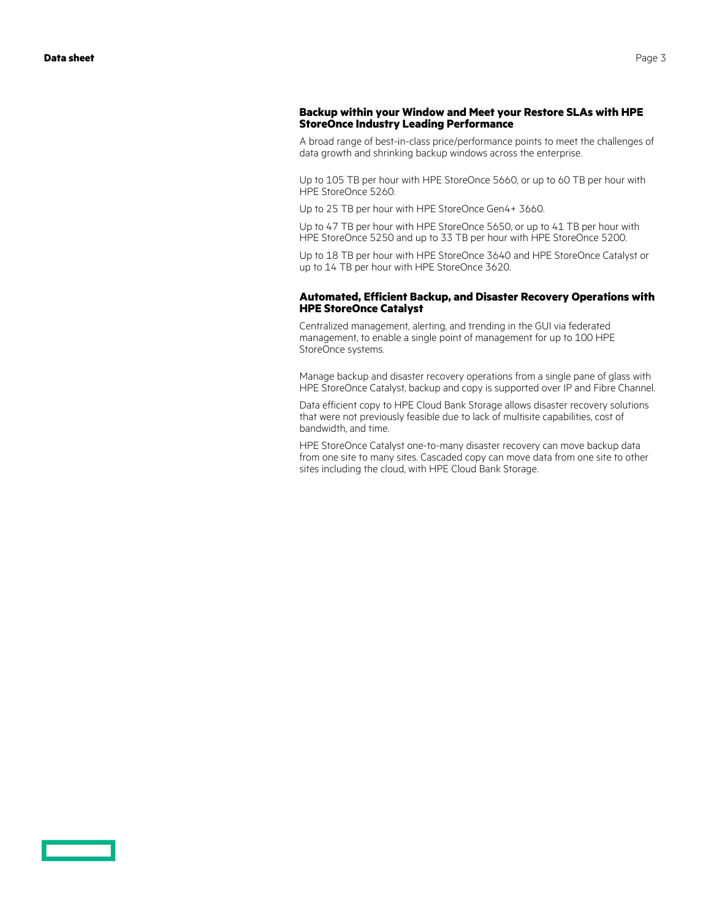#### **Backup within your Window and Meet your Restore SLAs with HPE StoreOnce Industry Leading Performance**

A broad range of best-in-class price/performance points to meet the challenges of data growth and shrinking backup windows across the enterprise.

Up to 105 TB per hour with HPE StoreOnce 5660, or up to 60 TB per hour with HPE StoreOnce 5260.

Up to 25 TB per hour with HPE StoreOnce Gen4+ 3660.

Up to 47 TB per hour with HPE StoreOnce 5650, or up to 41 TB per hour with HPE StoreOnce 5250 and up to 33 TB per hour with HPE StoreOnce 5200.

Up to 18 TB per hour with HPE StoreOnce 3640 and HPE StoreOnce Catalyst or up to 14 TB per hour with HPE StoreOnce 3620.

#### **Automated, Efficient Backup, and Disaster Recovery Operations with HPE StoreOnce Catalyst**

Centralized management, alerting, and trending in the GUI via federated management, to enable a single point of management for up to 100 HPE StoreOnce systems.

Manage backup and disaster recovery operations from a single pane of glass with HPE StoreOnce Catalyst, backup and copy is supported over IP and Fibre Channel.

Data efficient copy to HPE Cloud Bank Storage allows disaster recovery solutions that were not previously feasible due to lack of multisite capabilities, cost of bandwidth, and time.

HPE StoreOnce Catalyst one-to-many disaster recovery can move backup data from one site to many sites. Cascaded copy can move data from one site to other sites including the cloud, with HPE Cloud Bank Storage.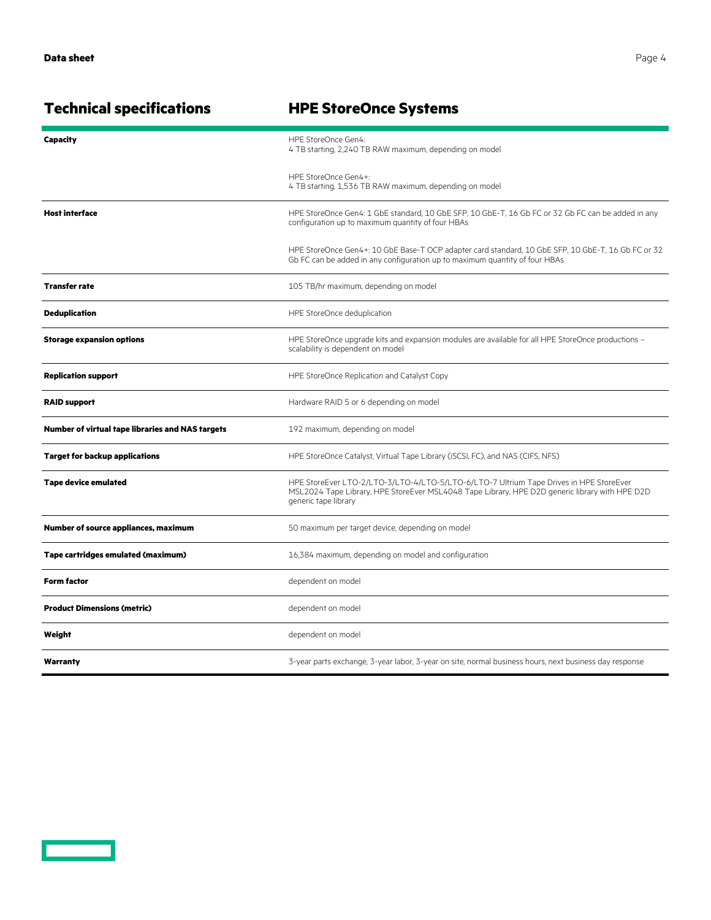**Technical specifications HPE StoreOnce Systems Capacity HPE StoreOnce Gen4:** 4 TB starting, 2,240 TB RAW maximum, depending on model HPE StoreOnce Gen4+: 4 TB starting, 1,536 TB RAW maximum, depending on model

| <b>Host interface</b>                            | HPE StoreOnce Gen4: 1 GbE standard, 10 GbE SFP, 10 GbE-T, 16 Gb FC or 32 Gb FC can be added in any<br>configuration up to maximum quantity of four HBAs                                                          |
|--------------------------------------------------|------------------------------------------------------------------------------------------------------------------------------------------------------------------------------------------------------------------|
|                                                  | HPE StoreOnce Gen4+: 10 GbE Base-T OCP adapter card standard, 10 GbE SFP, 10 GbE-T, 16 Gb FC or 32<br>Gb FC can be added in any configuration up to maximum quantity of four HBAs                                |
| <b>Transfer rate</b>                             | 105 TB/hr maximum, depending on model                                                                                                                                                                            |
| <b>Deduplication</b>                             | HPE StoreOnce deduplication                                                                                                                                                                                      |
| <b>Storage expansion options</b>                 | HPE StoreOnce upgrade kits and expansion modules are available for all HPE StoreOnce productions -<br>scalability is dependent on model                                                                          |
| <b>Replication support</b>                       | HPE StoreOnce Replication and Catalyst Copy                                                                                                                                                                      |
| <b>RAID support</b>                              | Hardware RAID 5 or 6 depending on model                                                                                                                                                                          |
| Number of virtual tape libraries and NAS targets | 192 maximum, depending on model                                                                                                                                                                                  |
| <b>Target for backup applications</b>            | HPE StoreOnce Catalyst, Virtual Tape Library (iSCSI, FC), and NAS (CIFS, NFS)                                                                                                                                    |
| <b>Tape device emulated</b>                      | HPE StoreEver LTO-2/LTO-3/LTO-4/LTO-5/LTO-6/LTO-7 Ultrium Tape Drives in HPE StoreEver<br>MSL2024 Tape Library, HPE StoreEver MSL4048 Tape Library, HPE D2D generic library with HPE D2D<br>generic tape library |
| Number of source appliances, maximum             | 50 maximum per target device, depending on model                                                                                                                                                                 |
| Tape cartridges emulated (maximum)               | 16,384 maximum, depending on model and configuration                                                                                                                                                             |
| <b>Form factor</b>                               | dependent on model                                                                                                                                                                                               |
| <b>Product Dimensions (metric)</b>               | dependent on model                                                                                                                                                                                               |
| Weight                                           | dependent on model                                                                                                                                                                                               |
| Warranty                                         | 3-year parts exchange, 3-year labor, 3-year on site, normal business hours, next business day response                                                                                                           |